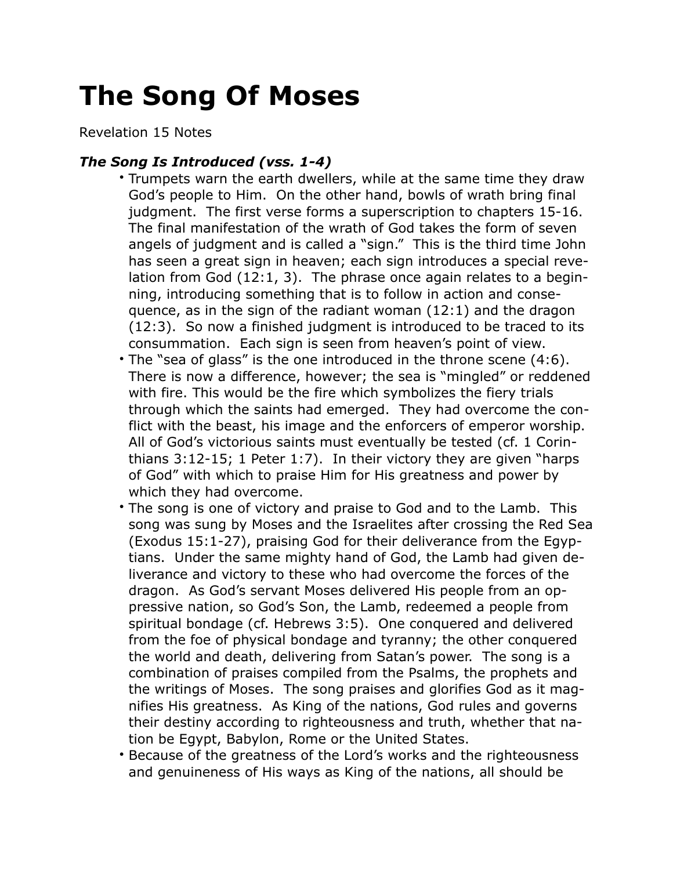## **The Song Of Moses**

Revelation 15 Notes

## *The Song Is Introduced (vss. 1-4)*

- Trumpets warn the earth dwellers, while at the same time they draw God's people to Him. On the other hand, bowls of wrath bring final judgment. The first verse forms a superscription to chapters 15-16. The final manifestation of the wrath of God takes the form of seven angels of judgment and is called a "sign." This is the third time John has seen a great sign in heaven; each sign introduces a special revelation from God (12:1, 3). The phrase once again relates to a beginning, introducing something that is to follow in action and consequence, as in the sign of the radiant woman (12:1) and the dragon (12:3). So now a finished judgment is introduced to be traced to its consummation. Each sign is seen from heaven's point of view.
- The "sea of glass" is the one introduced in the throne scene (4:6). There is now a difference, however; the sea is "mingled" or reddened with fire. This would be the fire which symbolizes the fiery trials through which the saints had emerged. They had overcome the conflict with the beast, his image and the enforcers of emperor worship. All of God's victorious saints must eventually be tested (cf. 1 Corinthians 3:12-15; 1 Peter 1:7). In their victory they are given "harps of God" with which to praise Him for His greatness and power by which they had overcome.
- The song is one of victory and praise to God and to the Lamb. This song was sung by Moses and the Israelites after crossing the Red Sea (Exodus 15:1-27), praising God for their deliverance from the Egyptians. Under the same mighty hand of God, the Lamb had given deliverance and victory to these who had overcome the forces of the dragon. As God's servant Moses delivered His people from an oppressive nation, so God's Son, the Lamb, redeemed a people from spiritual bondage (cf. Hebrews 3:5). One conquered and delivered from the foe of physical bondage and tyranny; the other conquered the world and death, delivering from Satan's power. The song is a combination of praises compiled from the Psalms, the prophets and the writings of Moses. The song praises and glorifies God as it magnifies His greatness. As King of the nations, God rules and governs their destiny according to righteousness and truth, whether that nation be Egypt, Babylon, Rome or the United States.
- Because of the greatness of the Lord's works and the righteousness and genuineness of His ways as King of the nations, all should be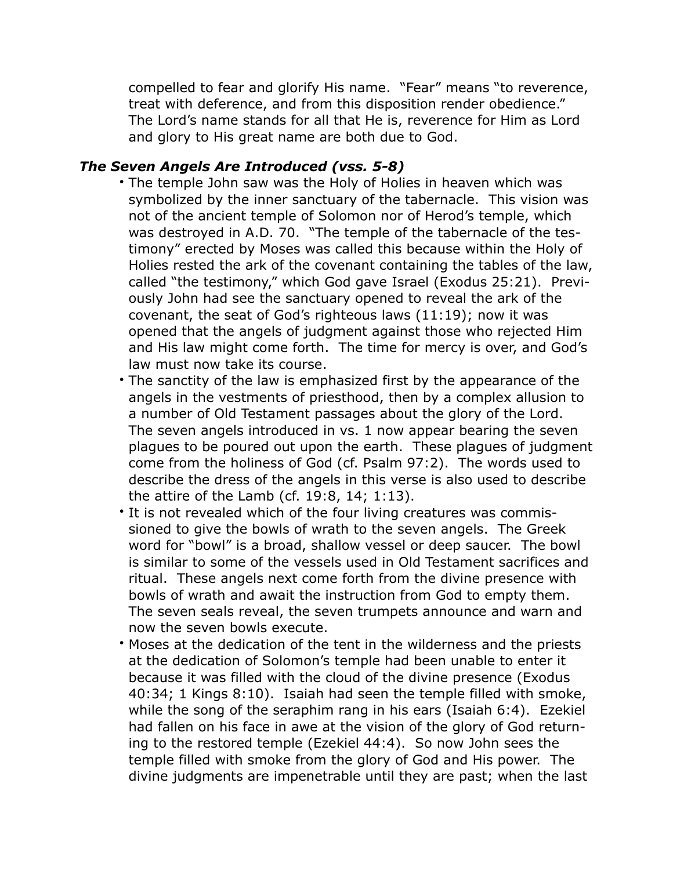compelled to fear and glorify His name. "Fear" means "to reverence, treat with deference, and from this disposition render obedience." The Lord's name stands for all that He is, reverence for Him as Lord and glory to His great name are both due to God.

## *The Seven Angels Are Introduced (vss. 5-8)*

- The temple John saw was the Holy of Holies in heaven which was symbolized by the inner sanctuary of the tabernacle. This vision was not of the ancient temple of Solomon nor of Herod's temple, which was destroyed in A.D. 70. "The temple of the tabernacle of the testimony" erected by Moses was called this because within the Holy of Holies rested the ark of the covenant containing the tables of the law, called "the testimony," which God gave Israel (Exodus 25:21). Previously John had see the sanctuary opened to reveal the ark of the covenant, the seat of God's righteous laws (11:19); now it was opened that the angels of judgment against those who rejected Him and His law might come forth. The time for mercy is over, and God's law must now take its course.
- The sanctity of the law is emphasized first by the appearance of the angels in the vestments of priesthood, then by a complex allusion to a number of Old Testament passages about the glory of the Lord. The seven angels introduced in vs. 1 now appear bearing the seven plagues to be poured out upon the earth. These plagues of judgment come from the holiness of God (cf. Psalm 97:2). The words used to describe the dress of the angels in this verse is also used to describe the attire of the Lamb (cf. 19:8, 14; 1:13).
- It is not revealed which of the four living creatures was commissioned to give the bowls of wrath to the seven angels. The Greek word for "bowl" is a broad, shallow vessel or deep saucer. The bowl is similar to some of the vessels used in Old Testament sacrifices and ritual. These angels next come forth from the divine presence with bowls of wrath and await the instruction from God to empty them. The seven seals reveal, the seven trumpets announce and warn and now the seven bowls execute.
- Moses at the dedication of the tent in the wilderness and the priests at the dedication of Solomon's temple had been unable to enter it because it was filled with the cloud of the divine presence (Exodus 40:34; 1 Kings 8:10). Isaiah had seen the temple filled with smoke, while the song of the seraphim rang in his ears (Isaiah 6:4). Ezekiel had fallen on his face in awe at the vision of the glory of God returning to the restored temple (Ezekiel 44:4). So now John sees the temple filled with smoke from the glory of God and His power. The divine judgments are impenetrable until they are past; when the last